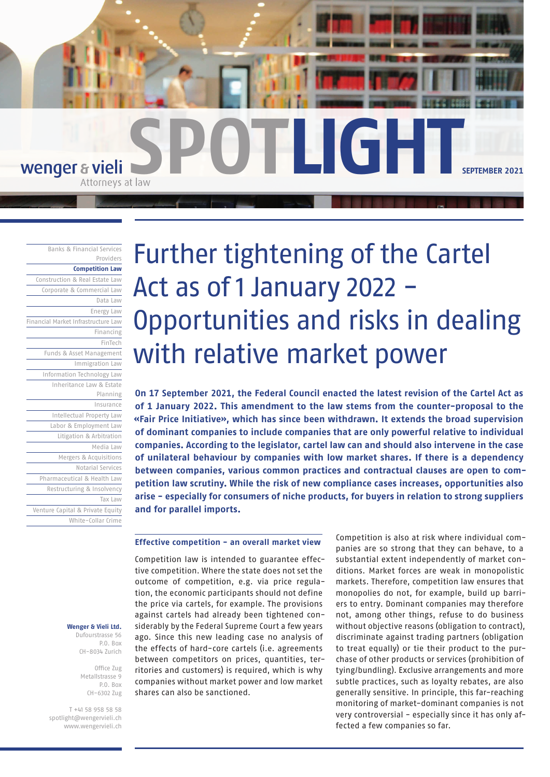

Banks & Financial Services Providers

**Competition Law**

Construction & Real Estate Law Corporate & Commercial Law Data Law Energy Law Financial Market Infrastructure Law Financing FinTech Funds & Asset Management Immigration Law Information Technology Law Inheritance Law & Estate Planning Insurance Intellectual Property Law Labor & Employment Law Litigation & Arbitration Media Law Mergers & Acquisitions Notarial Services Pharmaceutical & Health Law Restructuring & Insolvency Tax Law Venture Capital & Private Equity White-Collar Crime

> **Wenger & Vieli Ltd.** Dufourstrasse 56

> > P.O. Box CH-8034 Zurich

Office Zug Metallstrasse 9 P.O. Box CH-6302 Zug

T +41 58 958 58 58 spotlight@wengervieli.ch www.wengervieli.ch

# Further tightening of the Cartel Act as of 1 January 2022 -Opportunities and risks in dealing with relative market power

**On 17 September 2021, the Federal Council enacted the latest revision of the Cartel Act as of 1 January 2022. This amendment to the law stems from the counter-proposal to the «Fair Price Initiative», which has since been withdrawn. It extends the broad supervision of dominant companies to include companies that are only powerful relative to individual companies. According to the legislator, cartel law can and should also intervene in the case of unilateral behaviour by companies with low market shares. If there is a dependency between companies, various common practices and contractual clauses are open to competition law scrutiny. While the risk of new compliance cases increases, opportunities also arise - especially for consumers of niche products, for buyers in relation to strong suppliers and for parallel imports.**

# **Effective competition - an overall market view**

Competition law is intended to guarantee effective competition. Where the state does not set the outcome of competition, e.g. via price regulation, the economic participants should not define the price via cartels, for example. The provisions against cartels had already been tightened considerably by the Federal Supreme Court a few years ago. Since this new leading case no analysis of the effects of hard-core cartels (i.e. agreements between competitors on prices, quantities, territories and customers) is required, which is why companies without market power and low market shares can also be sanctioned.

Competition is also at risk where individual companies are so strong that they can behave, to a substantial extent independently of market conditions. Market forces are weak in monopolistic markets. Therefore, competition law ensures that monopolies do not, for example, build up barriers to entry. Dominant companies may therefore not, among other things, refuse to do business without objective reasons (obligation to contract), discriminate against trading partners (obligation to treat equally) or tie their product to the purchase of other products or services (prohibition of tying/bundling). Exclusive arrangements and more subtle practices, such as loyalty rebates, are also generally sensitive. In principle, this far-reaching monitoring of market-dominant companies is not very controversial - especially since it has only affected a few companies so far.